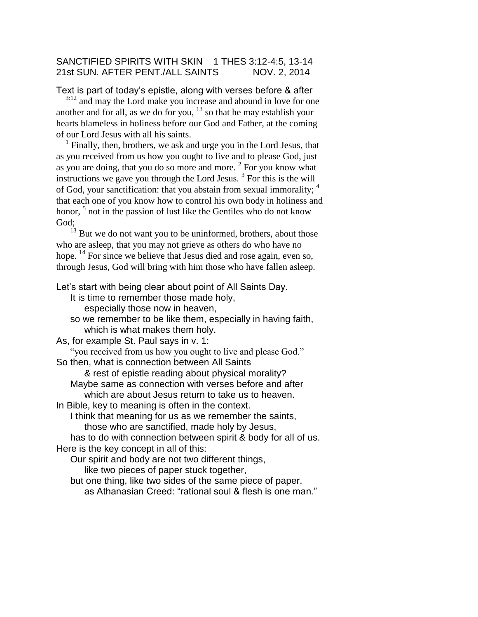### SANCTIFIED SPIRITS WITH SKIN 1 THES 3:12-4:5, 13-14 21st SUN. AFTER PENT./ALL SAINTS NOV. 2, 2014

Text is part of today's epistle, along with verses before & after

<sup>3:12</sup> and may the Lord make you increase and abound in love for one another and for all, as we do for you,  $13$  so that he may establish your hearts blameless in holiness before our God and Father, at the coming of our Lord Jesus with all his saints.

<sup>1</sup> Finally, then, brothers, we ask and urge you in the Lord Jesus, that as you received from us how you ought to live and to please God, just as you are doing, that you do so more and more.  $2$  For you know what instructions we gave you through the Lord Jesus.  $3$  For this is the will of God, your sanctification: that you abstain from sexual immorality; <sup>4</sup> that each one of you know how to control his own body in holiness and honor, <sup>5</sup> not in the passion of lust like the Gentiles who do not know God;

 $13$  But we do not want you to be uninformed, brothers, about those who are asleep, that you may not grieve as others do who have no hope. <sup>14</sup> For since we believe that Jesus died and rose again, even so, through Jesus, God will bring with him those who have fallen asleep.

Let's start with being clear about point of All Saints Day.

It is time to remember those made holy,

especially those now in heaven,

so we remember to be like them, especially in having faith, which is what makes them holy.

As, for example St. Paul says in v. 1:

"you received from us how you ought to live and please God."

So then, what is connection between All Saints

& rest of epistle reading about physical morality?

Maybe same as connection with verses before and after which are about Jesus return to take us to heaven.

In Bible, key to meaning is often in the context.

I think that meaning for us as we remember the saints, those who are sanctified, made holy by Jesus,

has to do with connection between spirit & body for all of us. Here is the key concept in all of this:

Our spirit and body are not two different things, like two pieces of paper stuck together,

but one thing, like two sides of the same piece of paper.

as Athanasian Creed: "rational soul & flesh is one man."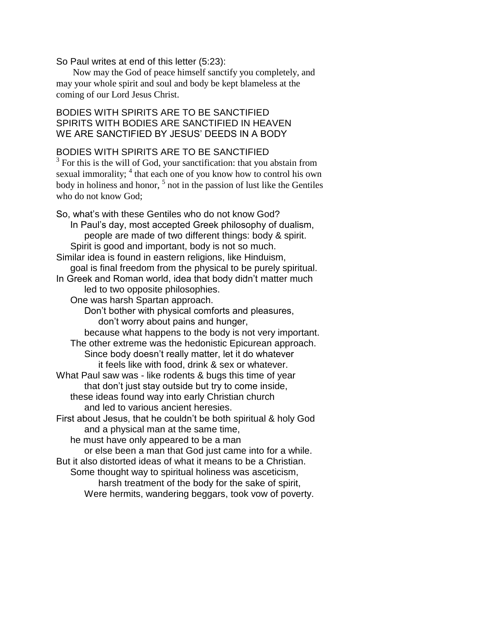#### So Paul writes at end of this letter (5:23):

Now may the God of peace himself sanctify you completely, and may your whole spirit and soul and body be kept blameless at the coming of our Lord Jesus Christ.

# BODIES WITH SPIRITS ARE TO BE SANCTIFIED SPIRITS WITH BODIES ARE SANCTIFIED IN HEAVEN WE ARE SANCTIFIED BY JESUS' DEEDS IN A BODY

# BODIES WITH SPIRITS ARE TO BE SANCTIFIED

 $3$  For this is the will of God, your sanctification: that you abstain from sexual immorality; <sup>4</sup> that each one of you know how to control his own body in holiness and honor, <sup>5</sup> not in the passion of lust like the Gentiles who do not know God;

So, what's with these Gentiles who do not know God? In Paul's day, most accepted Greek philosophy of dualism, people are made of two different things: body & spirit. Spirit is good and important, body is not so much. Similar idea is found in eastern religions, like Hinduism, goal is final freedom from the physical to be purely spiritual. In Greek and Roman world, idea that body didn't matter much led to two opposite philosophies. One was harsh Spartan approach. Don't bother with physical comforts and pleasures, don't worry about pains and hunger, because what happens to the body is not very important. The other extreme was the hedonistic Epicurean approach. Since body doesn't really matter, let it do whatever it feels like with food, drink & sex or whatever. What Paul saw was - like rodents & bugs this time of year that don't just stay outside but try to come inside, these ideas found way into early Christian church and led to various ancient heresies. First about Jesus, that he couldn't be both spiritual & holy God and a physical man at the same time, he must have only appeared to be a man or else been a man that God just came into for a while. But it also distorted ideas of what it means to be a Christian. Some thought way to spiritual holiness was asceticism, harsh treatment of the body for the sake of spirit, Were hermits, wandering beggars, took vow of poverty.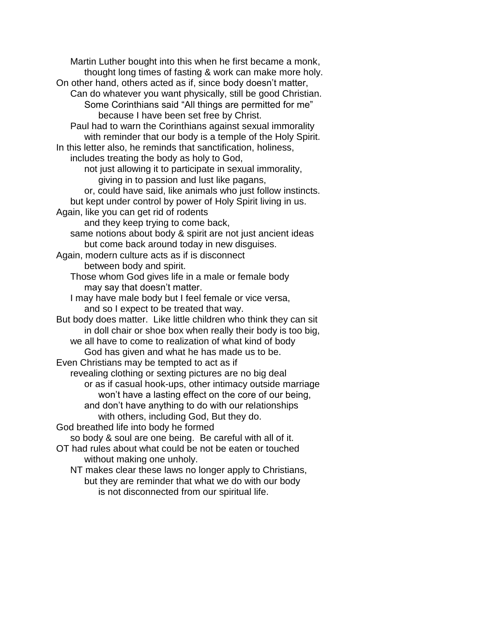Martin Luther bought into this when he first became a monk, thought long times of fasting & work can make more holy. On other hand, others acted as if, since body doesn't matter, Can do whatever you want physically, still be good Christian. Some Corinthians said "All things are permitted for me" because I have been set free by Christ. Paul had to warn the Corinthians against sexual immorality with reminder that our body is a temple of the Holy Spirit. In this letter also, he reminds that sanctification, holiness, includes treating the body as holy to God, not just allowing it to participate in sexual immorality, giving in to passion and lust like pagans, or, could have said, like animals who just follow instincts. but kept under control by power of Holy Spirit living in us. Again, like you can get rid of rodents and they keep trying to come back, same notions about body & spirit are not just ancient ideas but come back around today in new disguises. Again, modern culture acts as if is disconnect between body and spirit. Those whom God gives life in a male or female body may say that doesn't matter. I may have male body but I feel female or vice versa, and so I expect to be treated that way. But body does matter. Like little children who think they can sit in doll chair or shoe box when really their body is too big, we all have to come to realization of what kind of body God has given and what he has made us to be. Even Christians may be tempted to act as if revealing clothing or sexting pictures are no big deal or as if casual hook-ups, other intimacy outside marriage won't have a lasting effect on the core of our being, and don't have anything to do with our relationships with others, including God, But they do. God breathed life into body he formed so body & soul are one being. Be careful with all of it. OT had rules about what could be not be eaten or touched without making one unholy. NT makes clear these laws no longer apply to Christians, but they are reminder that what we do with our body is not disconnected from our spiritual life.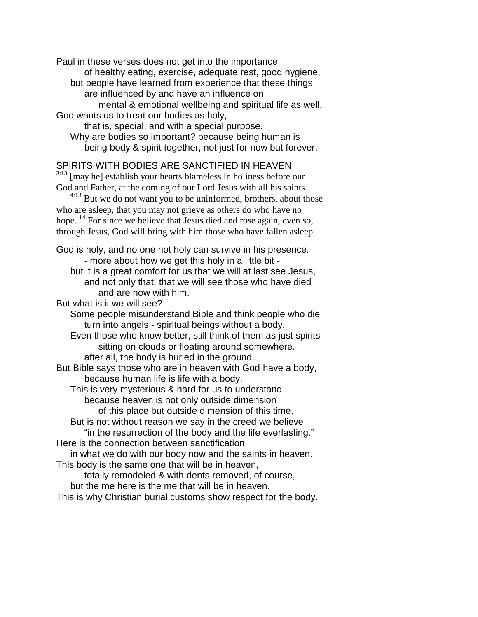Paul in these verses does not get into the importance of healthy eating, exercise, adequate rest, good hygiene, but people have learned from experience that these things are influenced by and have an influence on mental & emotional wellbeing and spiritual life as well. God wants us to treat our bodies as holy,

that is, special, and with a special purpose, Why are bodies so important? because being human is being body & spirit together, not just for now but forever.

# SPIRITS WITH BODIES ARE SANCTIFIED IN HEAVEN

<sup>3:13</sup> [may he] establish your hearts blameless in holiness before our God and Father, at the coming of our Lord Jesus with all his saints.

<sup>4:13</sup> But we do not want you to be uninformed, brothers, about those who are asleep, that you may not grieve as others do who have no hope. <sup>14</sup> For since we believe that Jesus died and rose again, even so, through Jesus, God will bring with him those who have fallen asleep.

God is holy, and no one not holy can survive in his presence. - more about how we get this holy in a little bit but it is a great comfort for us that we will at last see Jesus, and not only that, that we will see those who have died and are now with him.

But what is it we will see?

Some people misunderstand Bible and think people who die turn into angels - spiritual beings without a body.

Even those who know better, still think of them as just spirits sitting on clouds or floating around somewhere.

after all, the body is buried in the ground.

But Bible says those who are in heaven with God have a body, because human life is life with a body.

This is very mysterious & hard for us to understand because heaven is not only outside dimension of this place but outside dimension of this time.

But is not without reason we say in the creed we believe "in the resurrection of the body and the life everlasting."

Here is the connection between sanctification

in what we do with our body now and the saints in heaven. This body is the same one that will be in heaven,

totally remodeled & with dents removed, of course,

but the me here is the me that will be in heaven.

This is why Christian burial customs show respect for the body.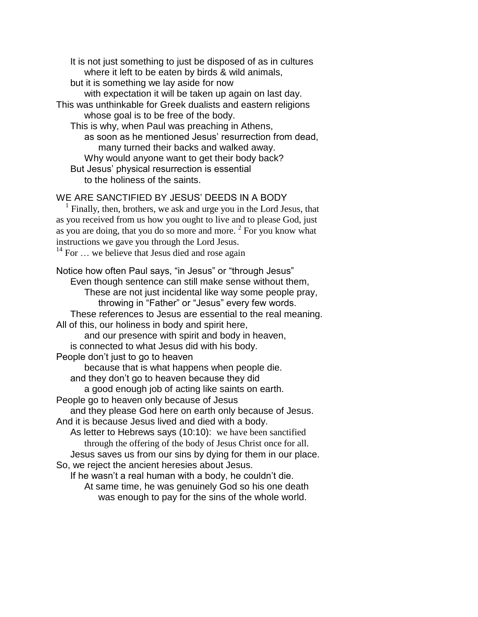It is not just something to just be disposed of as in cultures where it left to be eaten by birds & wild animals, but it is something we lay aside for now with expectation it will be taken up again on last day. This was unthinkable for Greek dualists and eastern religions whose goal is to be free of the body. This is why, when Paul was preaching in Athens, as soon as he mentioned Jesus' resurrection from dead, many turned their backs and walked away. Why would anyone want to get their body back? But Jesus' physical resurrection is essential to the holiness of the saints.

WE ARE SANCTIFIED BY JESUS' DEEDS IN A BODY

<sup>1</sup> Finally, then, brothers, we ask and urge you in the Lord Jesus, that as you received from us how you ought to live and to please God, just as you are doing, that you do so more and more.  $2$  For you know what instructions we gave you through the Lord Jesus.  $14$  For  $\ldots$  we believe that Jesus died and rose again

Notice how often Paul says, "in Jesus" or "through Jesus" Even though sentence can still make sense without them, These are not just incidental like way some people pray, throwing in "Father" or "Jesus" every few words. These references to Jesus are essential to the real meaning. All of this, our holiness in body and spirit here, and our presence with spirit and body in heaven, is connected to what Jesus did with his body. People don't just to go to heaven because that is what happens when people die. and they don't go to heaven because they did a good enough job of acting like saints on earth. People go to heaven only because of Jesus and they please God here on earth only because of Jesus. And it is because Jesus lived and died with a body. As letter to Hebrews says (10:10): we have been sanctified through the offering of the body of Jesus Christ once for all. Jesus saves us from our sins by dying for them in our place. So, we reject the ancient heresies about Jesus. If he wasn't a real human with a body, he couldn't die. At same time, he was genuinely God so his one death was enough to pay for the sins of the whole world.